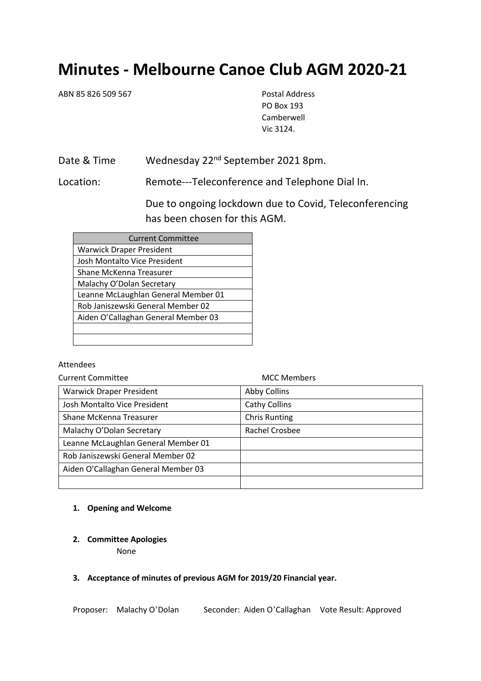# **Minutes - Melbourne Canoe Club AGM 2020-21**

ABN 85 826 509 567 Postal Address

PO Box 193 Camberwell Vic 3124.

Date & Time Wednesday 22<sup>nd</sup> September 2021 8pm.

Location: Remote---Teleconference and Telephone Dial In.

Due to ongoing lockdown due to Covid, Teleconferencing has been chosen for this AGM.

| <b>Current Committee</b>            |  |
|-------------------------------------|--|
| <b>Warwick Draper President</b>     |  |
| Josh Montalto Vice President        |  |
| Shane McKenna Treasurer             |  |
| Malachy O'Dolan Secretary           |  |
| Leanne McLaughlan General Member 01 |  |
| Rob Janiszewski General Member 02   |  |
| Aiden O'Callaghan General Member 03 |  |
|                                     |  |
|                                     |  |

Attendees

Current Committee MCC Members

| <b>Warwick Draper President</b>     | Abby Collins         |
|-------------------------------------|----------------------|
| Josh Montalto Vice President        | Cathy Collins        |
| Shane McKenna Treasurer             | <b>Chris Runting</b> |
| Malachy O'Dolan Secretary           | Rachel Crosbee       |
| Leanne McLaughlan General Member 01 |                      |
| Rob Janiszewski General Member 02   |                      |
| Aiden O'Callaghan General Member 03 |                      |
|                                     |                      |

## **1. Opening and Welcome**

**2. Committee Apologies**

None

#### **3. Acceptance of minutes of previous AGM for 2019/20 Financial year.**

Proposer: Malachy O'Dolan Seconder: Aiden O'Callaghan Vote Result: Approved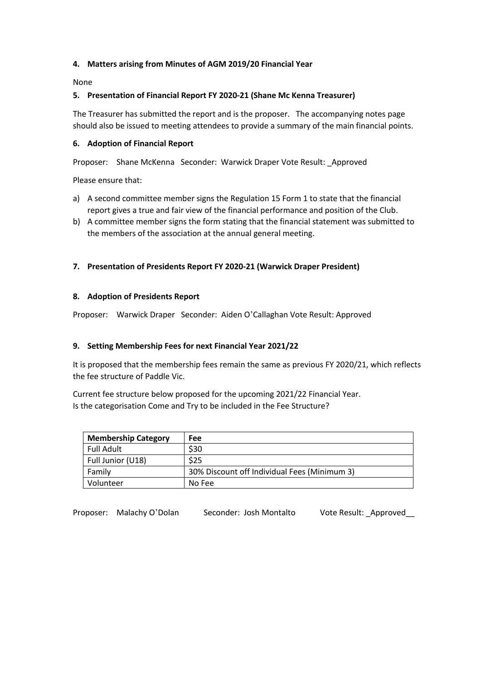## **4. Matters arising from Minutes of AGM 2019/20 Financial Year**

None

## **5. Presentation of Financial Report FY 2020-21 (Shane Mc Kenna Treasurer)**

The Treasurer has submitted the report and is the proposer. The accompanying notes page should also be issued to meeting attendees to provide a summary of the main financial points.

#### **6. Adoption of Financial Report**

Proposer: Shane McKenna Seconder: Warwick Draper Vote Result: \_Approved

Please ensure that:

- a) A second committee member signs the Regulation 15 Form 1 to state that the financial report gives a true and fair view of the financial performance and position of the Club.
- b) A committee member signs the form stating that the financial statement was submitted to the members of the association at the annual general meeting.

## **7. Presentation of Presidents Report FY 2020-21 (Warwick Draper President)**

#### **8. Adoption of Presidents Report**

Proposer: Warwick Draper Seconder: Aiden O'Callaghan Vote Result: Approved

#### **9. Setting Membership Fees for next Financial Year 2021/22**

It is proposed that the membership fees remain the same as previous FY 2020/21, which reflects the fee structure of Paddle Vic.

Current fee structure below proposed for the upcoming 2021/22 Financial Year. Is the categorisation Come and Try to be included in the Fee Structure?

| <b>Membership Category</b> | <b>Fee</b>                                   |
|----------------------------|----------------------------------------------|
| Full Adult                 | \$30                                         |
| Full Junior (U18)          | \$25                                         |
| Family                     | 30% Discount off Individual Fees (Minimum 3) |
| Volunteer                  | No Fee                                       |

Proposer: Malachy O'Dolan Seconder: Josh Montalto Vote Result: Approved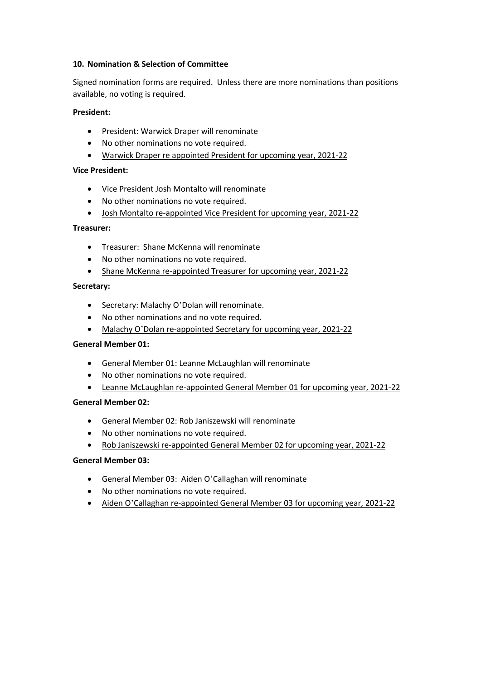#### **10. Nomination & Selection of Committee**

Signed nomination forms are required. Unless there are more nominations than positions available, no voting is required.

## **President:**

- President: Warwick Draper will renominate
- No other nominations no vote required.
- Warwick Draper re appointed President for upcoming year, 2021-22

## **Vice President:**

- Vice President Josh Montalto will renominate
- No other nominations no vote required.
- Josh Montalto re-appointed Vice President for upcoming year, 2021-22

## **Treasurer:**

- Treasurer: Shane McKenna will renominate
- No other nominations no vote required.
- Shane McKenna re-appointed Treasurer for upcoming year, 2021-22

## **Secretary:**

- Secretary: Malachy O'Dolan will renominate.
- No other nominations and no vote required.
- Malachy O'Dolan re-appointed Secretary for upcoming year, 2021-22

## **General Member 01:**

- General Member 01: Leanne McLaughlan will renominate
- No other nominations no vote required.
- Leanne McLaughlan re-appointed General Member 01 for upcoming year, 2021-22

# **General Member 02:**

- General Member 02: Rob Janiszewski will renominate
- No other nominations no vote required.
- Rob Janiszewski re-appointed General Member 02 for upcoming year, 2021-22

# **General Member 03:**

- General Member 03: Aiden O'Callaghan will renominate
- No other nominations no vote required.
- Aiden O'Callaghan re-appointed General Member 03 for upcoming year, 2021-22